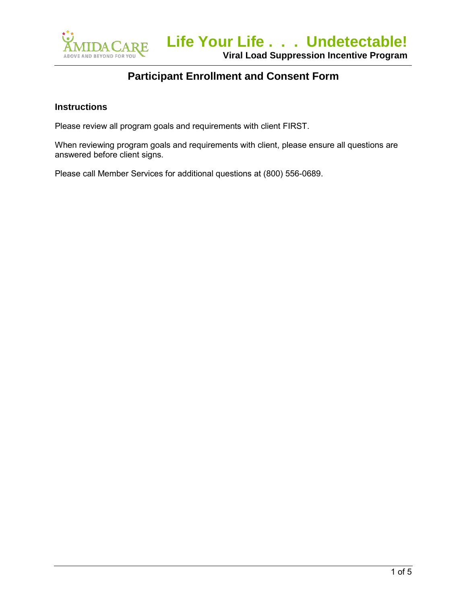

#### **Instructions**

Please review all program goals and requirements with client FIRST.

When reviewing program goals and requirements with client, please ensure all questions are answered before client signs.

Please call Member Services for additional questions at (800) 556-0689.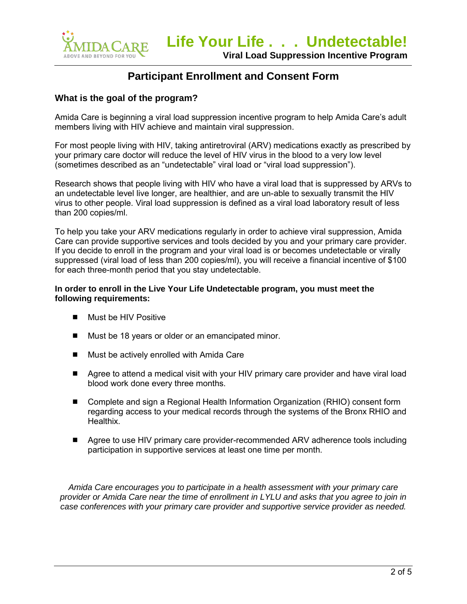

### **What is the goal of the program?**

Amida Care is beginning a viral load suppression incentive program to help Amida Care's adult members living with HIV achieve and maintain viral suppression.

For most people living with HIV, taking antiretroviral (ARV) medications exactly as prescribed by your primary care doctor will reduce the level of HIV virus in the blood to a very low level (sometimes described as an "undetectable" viral load or "viral load suppression").

Research shows that people living with HIV who have a viral load that is suppressed by ARVs to an undetectable level live longer, are healthier, and are un-able to sexually transmit the HIV virus to other people. Viral load suppression is defined as a viral load laboratory result of less than 200 copies/ml.

To help you take your ARV medications regularly in order to achieve viral suppression, Amida Care can provide supportive services and tools decided by you and your primary care provider. If you decide to enroll in the program and your viral load is or becomes undetectable or virally suppressed (viral load of less than 200 copies/ml), you will receive a financial incentive of \$100 for each three-month period that you stay undetectable.

#### **In order to enroll in the Live Your Life Undetectable program, you must meet the following requirements:**

- **Must be HIV Positive**
- Must be 18 years or older or an emancipated minor.
- Must be actively enrolled with Amida Care
- Agree to attend a medical visit with your HIV primary care provider and have viral load blood work done every three months.
- Complete and sign a Regional Health Information Organization (RHIO) consent form regarding access to your medical records through the systems of the Bronx RHIO and Healthix.
- Agree to use HIV primary care provider-recommended ARV adherence tools including participation in supportive services at least one time per month.

*Amida Care encourages you to participate in a health assessment with your primary care provider or Amida Care near the time of enrollment in LYLU and asks that you agree to join in case conferences with your primary care provider and supportive service provider as needed.*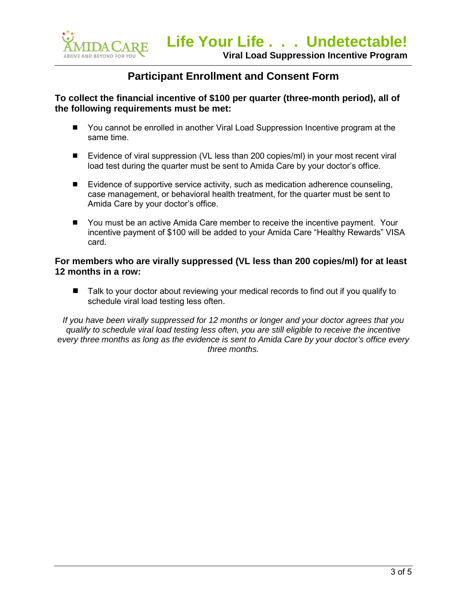

#### **To collect the financial incentive of \$100 per quarter (three-month period), all of the following requirements must be met:**

- You cannot be enrolled in another Viral Load Suppression Incentive program at the same time.
- Evidence of viral suppression (VL less than 200 copies/ml) in your most recent viral load test during the quarter must be sent to Amida Care by your doctor's office.
- Evidence of supportive service activity, such as medication adherence counseling, case management, or behavioral health treatment, for the quarter must be sent to Amida Care by your doctor's office.
- You must be an active Amida Care member to receive the incentive payment. Your incentive payment of \$100 will be added to your Amida Care "Healthy Rewards" VISA card.

### **For members who are virally suppressed (VL less than 200 copies/ml) for at least 12 months in a row:**

■ Talk to your doctor about reviewing your medical records to find out if you qualify to schedule viral load testing less often.

*If you have been virally suppressed for 12 months or longer and your doctor agrees that you qualify to schedule viral load testing less often, you are still eligible to receive the incentive every three months as long as the evidence is sent to Amida Care by your doctor's office every three months.*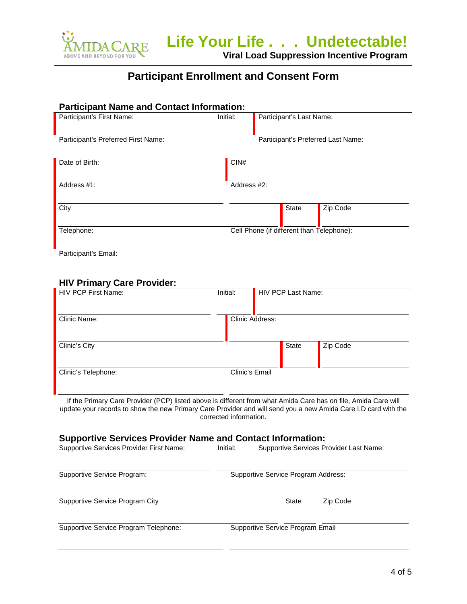

**Viral Load Suppression Incentive Program**

## **Participant Enrollment and Consent Form**

| <b>Participant Name and Contact Information:</b> |                 |                                           |  |  |
|--------------------------------------------------|-----------------|-------------------------------------------|--|--|
| Participant's First Name:                        | Initial:        | Participant's Last Name:                  |  |  |
| Participant's Preferred First Name:              |                 | Participant's Preferred Last Name:        |  |  |
| Date of Birth:                                   | CIN#            |                                           |  |  |
| Address #1:                                      | Address #2:     |                                           |  |  |
| City                                             |                 | State<br>Zip Code                         |  |  |
| Telephone:                                       |                 | Cell Phone (if different than Telephone): |  |  |
| Participant's Email:                             |                 |                                           |  |  |
| <b>HIV Primary Care Provider:</b>                |                 |                                           |  |  |
| <b>HIV PCP First Name:</b>                       | Initial:        | HIV PCP Last Name:                        |  |  |
| Clinic Name:                                     | Clinic Address: |                                           |  |  |

Clinic's City **State** Zip Code Clinic's Telephone: Clinic's Email

If the Primary Care Provider (PCP) listed above is different from what Amida Care has on file, Amida Care will update your records to show the new Primary Care Provider and will send you a new Amida Care I.D card with the corrected information.

#### **Supportive Services Provider Name and Contact Information:**

| Supportive Services Provider First Name: | Initial:<br>Supportive Services Provider Last Name: |  |
|------------------------------------------|-----------------------------------------------------|--|
| Supportive Service Program:              | Supportive Service Program Address:                 |  |
| Supportive Service Program City          | Zip Code<br>State                                   |  |
| Supportive Service Program Telephone:    | Supportive Service Program Email                    |  |